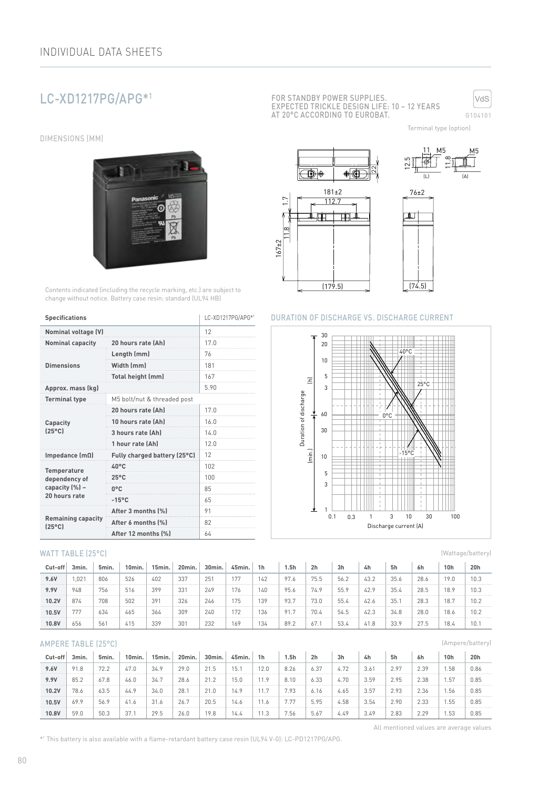# LC-XD1217PG/APG\*1

DIMENSIONS (MM)



Contents indicated (including the recycle marking, etc.) are subject to change without notice. Battery case resin: standard (UL94 HB)

| <b>Specifications</b>                        | LC-XD1217PG/APG*1            |      |  |  |  |  |
|----------------------------------------------|------------------------------|------|--|--|--|--|
| Nominal voltage (V)                          | 12                           |      |  |  |  |  |
| <b>Nominal capacity</b>                      | 20 hours rate (Ah)           | 17.0 |  |  |  |  |
|                                              | Length (mm)                  | 76   |  |  |  |  |
| <b>Dimensions</b>                            | Width (mm)                   | 181  |  |  |  |  |
|                                              | Total height (mm)            | 167  |  |  |  |  |
| Approx. mass (kg)                            |                              | 5.90 |  |  |  |  |
| <b>Terminal type</b>                         | M5 bolt/nut & threaded post  |      |  |  |  |  |
|                                              | 20 hours rate (Ah)           | 17.0 |  |  |  |  |
| Capacity                                     | 10 hours rate (Ah)           | 16.0 |  |  |  |  |
| $[25^{\circ}$ C                              | 3 hours rate (Ah)            | 14.0 |  |  |  |  |
|                                              | 1 hour rate (Ah)             | 12.0 |  |  |  |  |
| Impedance $(m\Omega)$                        | Fully charged battery (25°C) | 12   |  |  |  |  |
| <b>Temperature</b>                           | $40^{\circ}$ C               | 102  |  |  |  |  |
| dependency of                                | $25^{\circ}$ C               | 100  |  |  |  |  |
| capacity (%) -                               | $0^{\circ}$ C                | 85   |  |  |  |  |
| 20 hours rate                                | $-15^{\circ}$ C              | 65   |  |  |  |  |
|                                              | After 3 months (%)           | 91   |  |  |  |  |
| <b>Remaining capacity</b><br>$[25^{\circ}$ C | After 6 months (%)           | 82   |  |  |  |  |
|                                              | After 12 months (%)          | 64   |  |  |  |  |

#### WATT TABLE (25°C)

| Cut-off | 3min. | 5min. | 10min. | 15min. | 20min. | 30 <sub>min</sub> | 45min. | 1 <sub>h</sub> | 1.5h | 2 <sub>h</sub> | 3h   | 4h   | 5h   | 6h   | 10 <sub>h</sub> | 20h  |
|---------|-------|-------|--------|--------|--------|-------------------|--------|----------------|------|----------------|------|------|------|------|-----------------|------|
| 9.6V    | .021  | 806   | 526    | 402    | 337    | 251               | 177    | 142            | 97.6 | 75.5           | 56.2 | 43.2 | 35.6 | 28.6 | 19.0            | 10.3 |
| 9.9V    | 948   | 756   | 516    | 399    | 331    | 249               | 176    | 140            | 95.6 | 74.9           | 55.9 | 42.9 | 35.4 | 28.5 | 18.9            | 10.3 |
| 10.2V   | 874   | 708   | 502    | 391    | 326    | 246               | 175    | 139            | 93.7 | 73.0           | 55.4 | 42.6 | 35.  | 28.3 | 18.7            | 10.2 |
| 10.5V   | 777   | 634   | 465    | 364    | 309    | 240               | 172    | 136            | 91.7 | 70.4           | 54.5 | 42.3 | 34.8 | 28.0 | 18.6            | 10.2 |
| 10.8V   | 656   | 561   | 415    | 339    | 301    | 232               | 169    | 134            | 89.2 | 67.1           | 53.4 | 41.8 | 33.9 | 27.5 | 18.4            | 10.7 |

#### AMPERE TABLE (25°C)

| Cut-off | 3min. | 5min. | 10 <sub>min</sub> | 15min. | 20min. | 30min. | 45min. | 1 <sub>h</sub> | l.5h | 2h   | 3 <sub>h</sub> | 4h   | 5h   | 6h   | 10 <sub>h</sub> | 20h  |
|---------|-------|-------|-------------------|--------|--------|--------|--------|----------------|------|------|----------------|------|------|------|-----------------|------|
| 9.6V    | 91.8  | 72.2  | 47.0              | 34.9   | 29.0   | 21.5   | 15.7   | 12.0           | 8.26 | 6.37 | 4.72           | 3.61 | 2.97 | 2.39 | . 58            | 0.86 |
| 9.9V    | 85.2  | 67.8  | 46.0              | 34.7   | 28.6   | 21.2   | 15.0   | 11.9           | 8.10 | 6.33 | 4.70           | 3.59 | 2.95 | 2.38 | . 57            | 0.85 |
| 10.2V   | 78.6  | 63.5  | 44.9              | 34.0   | 28.1   | 21.0   | 14.9   |                | 7.93 | 6.16 | 4.65           | 3.57 | 2.93 | 2.36 | . 56            | 0.85 |
| 10.5V   | 69.9  | 56.9  | 41.6              | 31.6   | 26.7   | 20.5   | 14.6   | 11.6           | 7.77 | 5.95 | 4.58           | 3.54 | 2.90 | 2.33 | 55، ،           | 0.85 |
| 10.8V   | 59.0  | 50.3  | 37.1              | 29.5   | 26.0   | 19.8   | 14.4   |                | 7.56 | 5.67 | 4.49           | 3.49 | 2.83 | 2.29 | 1.53            | 0.85 |

FOR STANDBY POWER SUPPLIES. EXPECTED TRICKLE DESIGN LIFE: 10 – 12 YEARS AT 20°C ACCORDING TO EUROBAT.



Terminal type (option)

M5 M5





11

#### DURATION OF DISCHARGE VS. DISCHARGE CURRENT



(Wattage/battery)

(Ampere/battery)

All mentioned values are average values

\*1 This battery is also available with a flame-retardant battery case resin (UL94 V-0): LC-PD1217PG/APG.